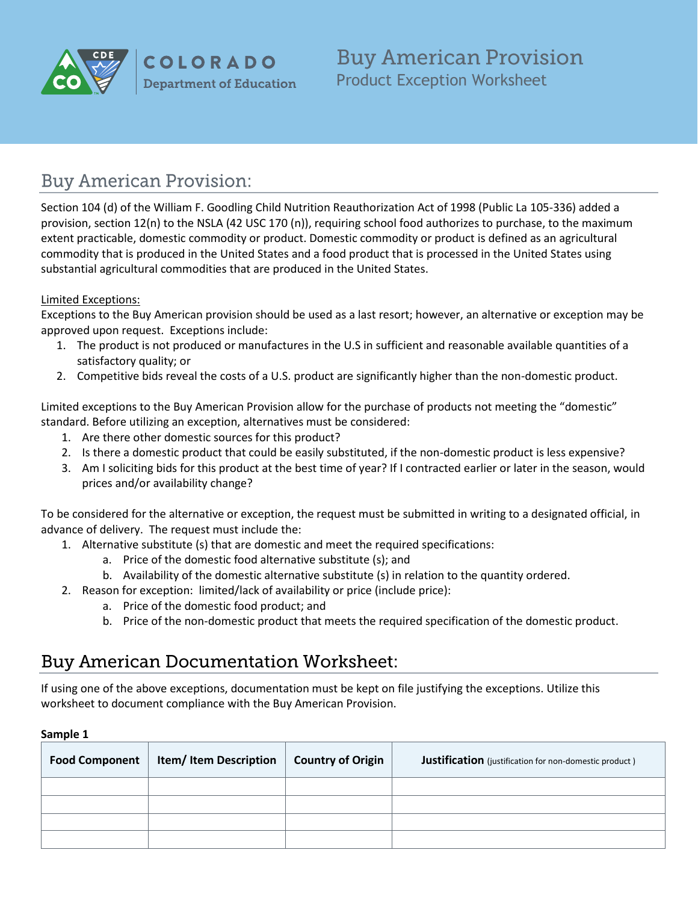

**COLORADO Department of Education**  **Buy American Provision** Product Exception Worksheet

# **Buy American Provision:**

Section 104 (d) of the William F. Goodling Child Nutrition Reauthorization Act of 1998 (Public La 105-336) added a provision, section 12(n) to the NSLA (42 USC 170 (n)), requiring school food authorizes to purchase, to the maximum extent practicable, domestic commodity or product. Domestic commodity or product is defined as an agricultural commodity that is produced in the United States and a food product that is processed in the United States using substantial agricultural commodities that are produced in the United States.

### Limited Exceptions:

Exceptions to the Buy American provision should be used as a last resort; however, an alternative or exception may be approved upon request. Exceptions include:

- 1. The product is not produced or manufactures in the U.S in sufficient and reasonable available quantities of a satisfactory quality; or
- 2. Competitive bids reveal the costs of a U.S. product are significantly higher than the non-domestic product.

Limited exceptions to the Buy American Provision allow for the purchase of products not meeting the "domestic" standard. Before utilizing an exception, alternatives must be considered:

- 1. Are there other domestic sources for this product?
- 2. Is there a domestic product that could be easily substituted, if the non-domestic product is less expensive?
- 3. Am I soliciting bids for this product at the best time of year? If I contracted earlier or later in the season, would prices and/or availability change?

To be considered for the alternative or exception, the request must be submitted in writing to a designated official, in advance of delivery. The request must include the:

- 1. Alternative substitute (s) that are domestic and meet the required specifications:
	- a. Price of the domestic food alternative substitute (s); and
	- b. Availability of the domestic alternative substitute (s) in relation to the quantity ordered.
- 2. Reason for exception: limited/lack of availability or price (include price):
	- a. Price of the domestic food product; and
	- b. Price of the non-domestic product that meets the required specification of the domestic product.

## **Buy American Documentation Worksheet:**

If using one of the above exceptions, documentation must be kept on file justifying the exceptions. Utilize this worksheet to document compliance with the Buy American Provision.

#### **Sample 1**

| <b>Food Component</b> | <b>Item/Item Description</b> | <b>Country of Origin</b> | Justification (justification for non-domestic product) |
|-----------------------|------------------------------|--------------------------|--------------------------------------------------------|
|                       |                              |                          |                                                        |
|                       |                              |                          |                                                        |
|                       |                              |                          |                                                        |
|                       |                              |                          |                                                        |